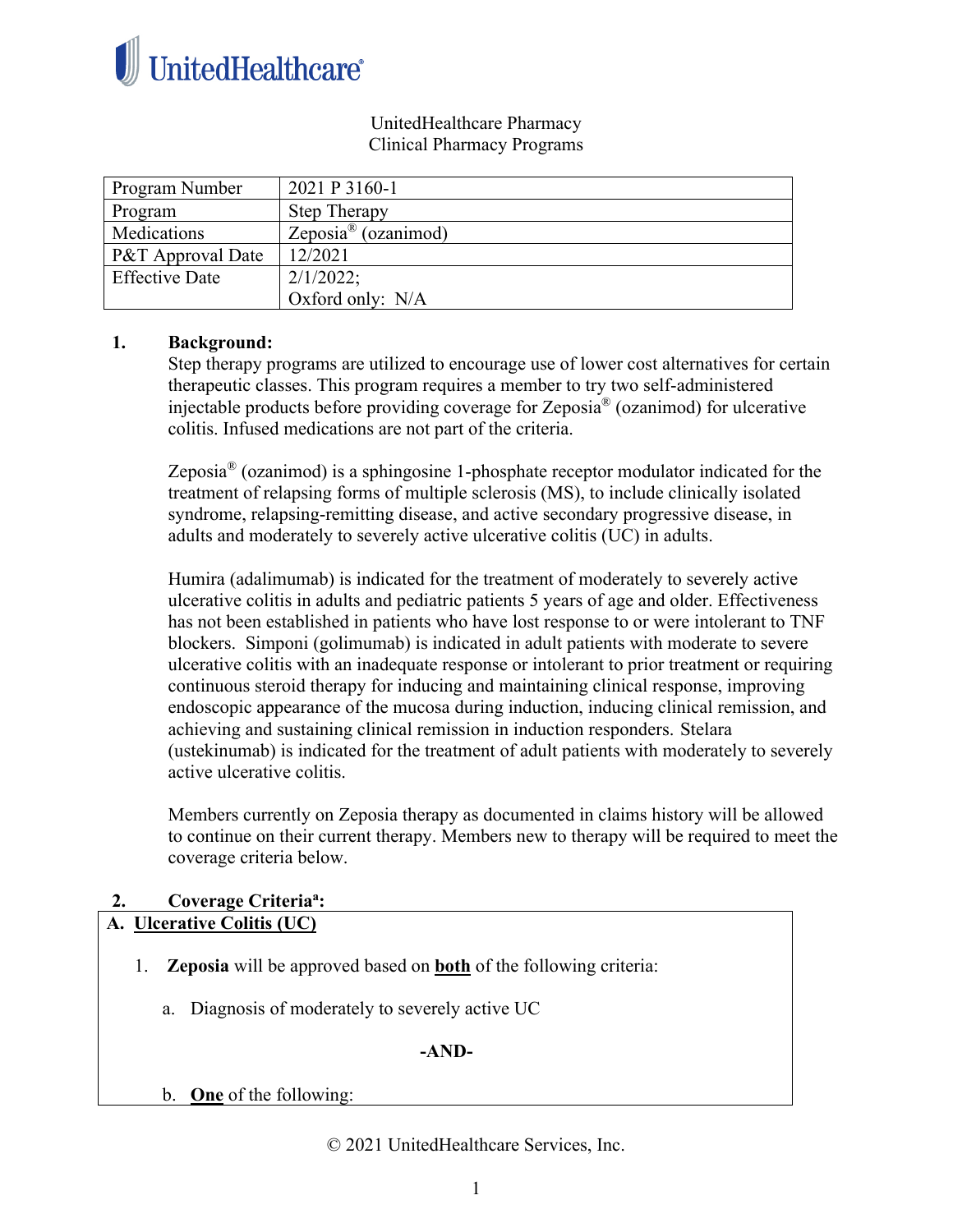

#### UnitedHealthcare Pharmacy Clinical Pharmacy Programs

| Program Number        | 2021 P 3160-1                   |
|-----------------------|---------------------------------|
| Program               | <b>Step Therapy</b>             |
| Medications           | Zeposia <sup>®</sup> (ozanimod) |
| P&T Approval Date     | 12/2021                         |
| <b>Effective Date</b> | 2/1/2022;                       |
|                       | Oxford only: N/A                |

#### **1. Background:**

Step therapy programs are utilized to encourage use of lower cost alternatives for certain therapeutic classes. This program requires a member to try two self-administered injectable products before providing coverage for Zeposia® (ozanimod) for ulcerative colitis. Infused medications are not part of the criteria.

Zeposia<sup>®</sup> (ozanimod) is a sphingosine 1-phosphate receptor modulator indicated for the treatment of relapsing forms of multiple sclerosis (MS), to include clinically isolated syndrome, relapsing-remitting disease, and active secondary progressive disease, in adults and moderately to severely active ulcerative colitis (UC) in adults.

Humira (adalimumab) is indicated for the treatment of moderately to severely active ulcerative colitis in adults and pediatric patients 5 years of age and older. Effectiveness has not been established in patients who have lost response to or were intolerant to TNF blockers. Simponi (golimumab) is indicated in adult patients with moderate to severe ulcerative colitis with an inadequate response or intolerant to prior treatment or requiring continuous steroid therapy for inducing and maintaining clinical response, improving endoscopic appearance of the mucosa during induction, inducing clinical remission, and achieving and sustaining clinical remission in induction responders. Stelara (ustekinumab) is indicated for the treatment of adult patients with moderately to severely active ulcerative colitis.

Members currently on Zeposia therapy as documented in claims history will be allowed to continue on their current therapy. Members new to therapy will be required to meet the coverage criteria below.

## **2. Coverage Criteriaa :**

### **A. Ulcerative Colitis (UC)**

- 1. **Zeposia** will be approved based on **both** of the following criteria:
	- a. Diagnosis of moderately to severely active UC

#### **-AND-**

b. **One** of the following:

© 2021 UnitedHealthcare Services, Inc.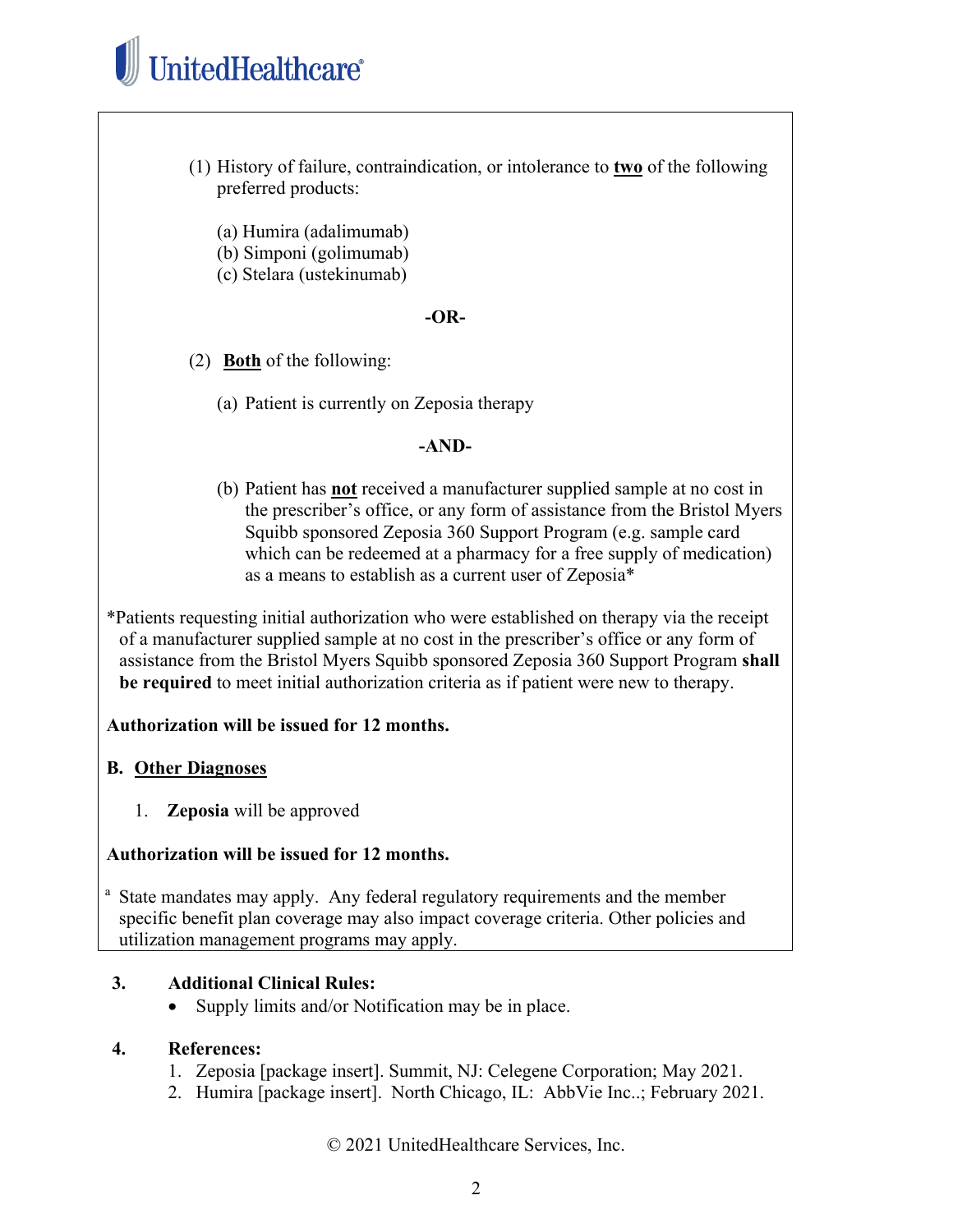# UnitedHealthcare®

- (1) History of failure, contraindication, or intolerance to **two** of the following preferred products:
	- (a) Humira (adalimumab)
	- (b) Simponi (golimumab)
	- (c) Stelara (ustekinumab)

#### **-OR-**

(2) **Both** of the following:

(a) Patient is currently on Zeposia therapy

#### **-AND-**

(b) Patient has **not** received a manufacturer supplied sample at no cost in the prescriber's office, or any form of assistance from the Bristol Myers Squibb sponsored Zeposia 360 Support Program (e.g. sample card which can be redeemed at a pharmacy for a free supply of medication) as a means to establish as a current user of Zeposia\*

\*Patients requesting initial authorization who were established on therapy via the receipt of a manufacturer supplied sample at no cost in the prescriber's office or any form of assistance from the Bristol Myers Squibb sponsored Zeposia 360 Support Program **shall be required** to meet initial authorization criteria as if patient were new to therapy.

#### **Authorization will be issued for 12 months.**

#### **B. Other Diagnoses**

1. **Zeposia** will be approved

#### **Authorization will be issued for 12 months.**

<sup>a</sup> State mandates may apply. Any federal regulatory requirements and the member specific benefit plan coverage may also impact coverage criteria. Other policies and utilization management programs may apply.

#### **3. Additional Clinical Rules:**

• Supply limits and/or Notification may be in place.

#### **4. References:**

- 1. Zeposia [package insert]. Summit, NJ: Celegene Corporation; May 2021.
- 2. Humira [package insert]. North Chicago, IL: AbbVie Inc..; February 2021.

© 2021 UnitedHealthcare Services, Inc.